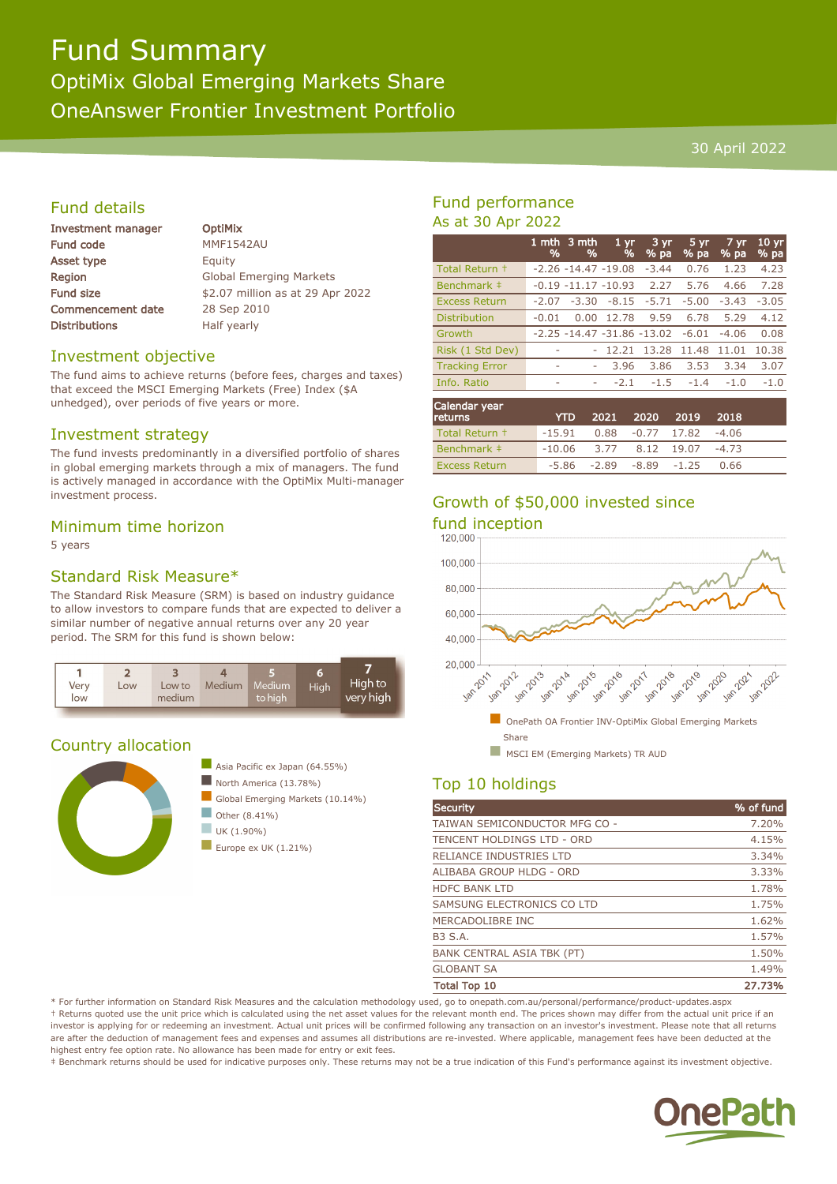# Fund Summary

OptiMix Global Emerging Markets Share OneAnswer Frontier Investment Portfolio

#### 30 April 2022

#### Fund details

| <b>Investment manager</b> |
|---------------------------|
| <b>Fund code</b>          |
| Asset type                |
| Region                    |
| <b>Fund size</b>          |
| <b>Commencement date</b>  |
| <b>Distributions</b>      |

**OptiMix MMF1542AU** Equity **Global Emerging Markets** \$2.07 million as at 29 Apr 2022 28 Sep 2010 Half yearly

#### Investment objective

The fund aims to achieve returns (before fees, charges and taxes) that exceed the MSCI Emerging Markets (Free) Index (\$A unhedged), over periods of five years or more.

#### Investment strategy

The fund invests predominantly in a diversified portfolio of shares in global emerging markets through a mix of managers. The fund is actively managed in accordance with the OptiMix Multi-manager investment process.

#### Minimum time horizon

5 years

#### Standard Risk Measure\*

The Standard Risk Measure (SRM) is based on industry guidance to allow investors to compare funds that are expected to deliver a similar number of negative annual returns over any 20 year period. The SRM for this fund is shown below:



#### Country allocation



### Fund performance As at 30 Apr 2022

|                       | 1 mth<br>% | 3 mth<br>%              | 1 <sub>yr</sub><br>%            | $3 \,\mathrm{yr}$<br>% pa | 5 vr<br>% pa | 7 yr<br>% pa | 10 <sub>yr</sub><br>% pa |
|-----------------------|------------|-------------------------|---------------------------------|---------------------------|--------------|--------------|--------------------------|
| Total Return +        |            | $-2.26 - 14.47 - 19.08$ |                                 | $-3.44$                   | 0.76         | 1.23         | 4.23                     |
| Benchmark ‡           |            | $-0.19 - 11.17 - 10.93$ |                                 | 2.27                      | 5.76         | 4.66         | 7.28                     |
| <b>Excess Return</b>  | $-2.07$    | $-3.30$                 | $-8.15$                         | $-5.71$                   | $-5.00$      | $-3.43$      | $-3.05$                  |
| <b>Distribution</b>   | $-0.01$    | 0.00                    | 12.78                           | 9.59                      | 6.78         | 5.29         | 4.12                     |
| Growth                |            |                         | $-2.25 - 14.47 - 31.86 - 13.02$ |                           | $-6.01$      | $-4.06$      | 0.08                     |
| Risk (1 Std Dev)      | ۰          |                         | 12.21                           | 13.28                     | 11.48        | 11.01        | 10.38                    |
| <b>Tracking Error</b> | ٠          | ۰                       | 3.96                            | 3.86                      | 3.53         | 3.34         | 3.07                     |
| Info. Ratio           | ۰          | ۰                       | $-2.1$                          | $-1.5$                    | $-1.4$       | $-1.0$       | $-1.0$                   |
|                       |            |                         |                                 |                           |              |              |                          |

| Calendar year<br><b>returns</b> | <b>YTD</b>                          |                                 | $2021 - 2020$ | - 2019 | 2018    |  |
|---------------------------------|-------------------------------------|---------------------------------|---------------|--------|---------|--|
| Total Return +                  | $-15.91$ 0.88 $-0.77$ 17.82 $-4.06$ |                                 |               |        |         |  |
| Benchmark #                     | $-10.06$ 3.77 8.12 19.07            |                                 |               |        | $-4.73$ |  |
| <b>Excess Return</b>            |                                     | $-5.86$ $-2.89$ $-8.89$ $-1.25$ |               |        | 0.66    |  |

# Growth of \$50,000 invested since



## Top 10 holdings

| <b>Security</b>                   | % of fund |
|-----------------------------------|-----------|
| TAIWAN SEMICONDUCTOR MFG CO -     | 7.20%     |
| TENCENT HOLDINGS LTD - ORD        | 4.15%     |
| RELIANCE INDUSTRIES LTD           | 3.34%     |
| ALIBABA GROUP HLDG - ORD          | 3.33%     |
| <b>HDFC BANK LTD</b>              | 1.78%     |
| SAMSUNG ELECTRONICS CO LTD        | 1.75%     |
| MERCADOLIBRE INC                  | 1.62%     |
| <b>B3 S.A.</b>                    | 1.57%     |
| <b>BANK CENTRAL ASIA TBK (PT)</b> | 1.50%     |
| <b>GLOBANT SA</b>                 | 1.49%     |
| <b>Total Top 10</b>               | 27.73%    |

\* For further information on Standard Risk Measures and the calculation methodology used, go to onepath.com.au/personal/performance/product-updates.aspx † Returns quoted use the unit price which is calculated using the net asset values for the relevant month end. The prices shown may differ from the actual unit price if an investor is applying for or redeeming an investment. Actual unit prices will be confirmed following any transaction on an investor's investment. Please note that all returns are after the deduction of management fees and expenses and assumes all distributions are re-invested. Where applicable, management fees have been deducted at the highest entry fee option rate. No allowance has been made for entry or exit fees.

‡ Benchmark returns should be used for indicative purposes only. These returns may not be a true indication of this Fund's performance against its investment objective.